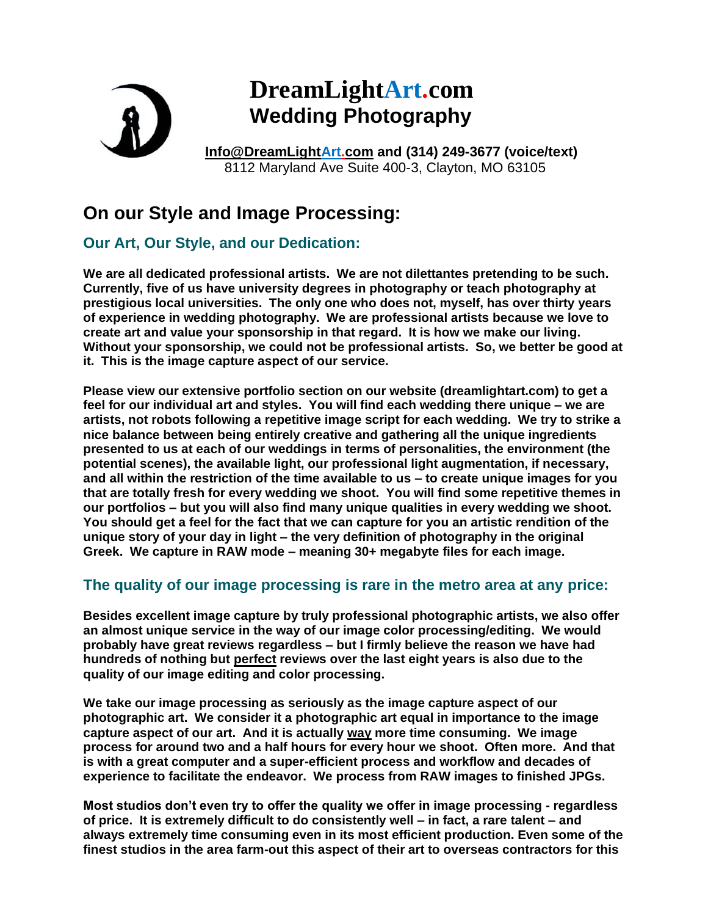

## **DreamLightArt.com Wedding Photography**

**[Info@DreamLightArt.com](mailto:Info@DreamLightArt.com) and (314) 249-3677 (voice/text)** 8112 Maryland Ave Suite 400-3, Clayton, MO 63105

## **On our Style and Image Processing:**

## **Our Art, Our Style, and our Dedication:**

**We are all dedicated professional artists. We are not dilettantes pretending to be such. Currently, five of us have university degrees in photography or teach photography at prestigious local universities. The only one who does not, myself, has over thirty years of experience in wedding photography. We are professional artists because we love to create art and value your sponsorship in that regard. It is how we make our living. Without your sponsorship, we could not be professional artists. So, we better be good at it. This is the image capture aspect of our service.** 

**Please view our extensive portfolio section on our website (dreamlightart.com) to get a feel for our individual art and styles. You will find each wedding there unique – we are artists, not robots following a repetitive image script for each wedding. We try to strike a nice balance between being entirely creative and gathering all the unique ingredients presented to us at each of our weddings in terms of personalities, the environment (the potential scenes), the available light, our professional light augmentation, if necessary, and all within the restriction of the time available to us – to create unique images for you that are totally fresh for every wedding we shoot. You will find some repetitive themes in our portfolios – but you will also find many unique qualities in every wedding we shoot. You should get a feel for the fact that we can capture for you an artistic rendition of the unique story of your day in light – the very definition of photography in the original Greek. We capture in RAW mode – meaning 30+ megabyte files for each image.**

## **The quality of our image processing is rare in the metro area at any price:**

**Besides excellent image capture by truly professional photographic artists, we also offer an almost unique service in the way of our image color processing/editing. We would probably have great reviews regardless – but I firmly believe the reason we have had hundreds of nothing but perfect reviews over the last eight years is also due to the quality of our image editing and color processing.**

**We take our image processing as seriously as the image capture aspect of our photographic art. We consider it a photographic art equal in importance to the image capture aspect of our art. And it is actually way more time consuming. We image process for around two and a half hours for every hour we shoot. Often more. And that is with a great computer and a super-efficient process and workflow and decades of experience to facilitate the endeavor. We process from RAW images to finished JPGs.**

**Most studios don't even try to offer the quality we offer in image processing - regardless of price. It is extremely difficult to do consistently well – in fact, a rare talent – and always extremely time consuming even in its most efficient production. Even some of the finest studios in the area farm-out this aspect of their art to overseas contractors for this**